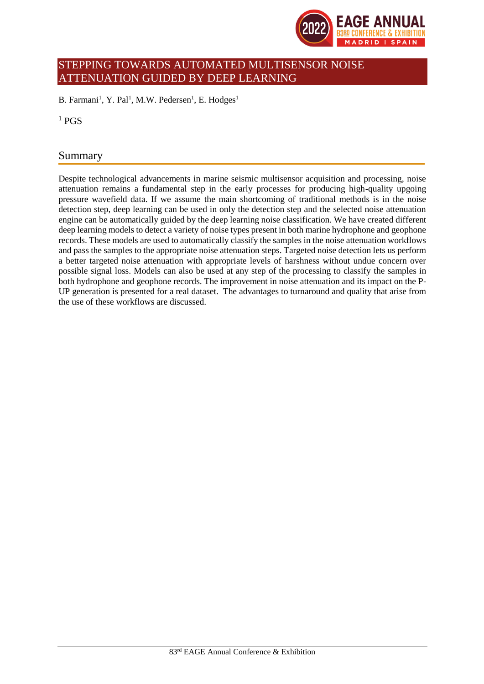

# STEPPING TOWARDS AUTOMATED MULTISENSOR NOISE ATTENUATION GUIDED BY DEEP LEARNING

B. Farmani<sup>1</sup>, Y. Pal<sup>1</sup>, M.W. Pedersen<sup>1</sup>, E. Hodges<sup>1</sup>

 $1$  PGS

## Summary

Despite technological advancements in marine seismic multisensor acquisition and processing, noise attenuation remains a fundamental step in the early processes for producing high-quality upgoing pressure wavefield data. If we assume the main shortcoming of traditional methods is in the noise detection step, deep learning can be used in only the detection step and the selected noise attenuation engine can be automatically guided by the deep learning noise classification. We have created different deep learning models to detect a variety of noise types present in both marine hydrophone and geophone records. These models are used to automatically classify the samples in the noise attenuation workflows and pass the samples to the appropriate noise attenuation steps. Targeted noise detection lets us perform a better targeted noise attenuation with appropriate levels of harshness without undue concern over possible signal loss. Models can also be used at any step of the processing to classify the samples in both hydrophone and geophone records. The improvement in noise attenuation and its impact on the P-UP generation is presented for a real dataset. The advantages to turnaround and quality that arise from the use of these workflows are discussed.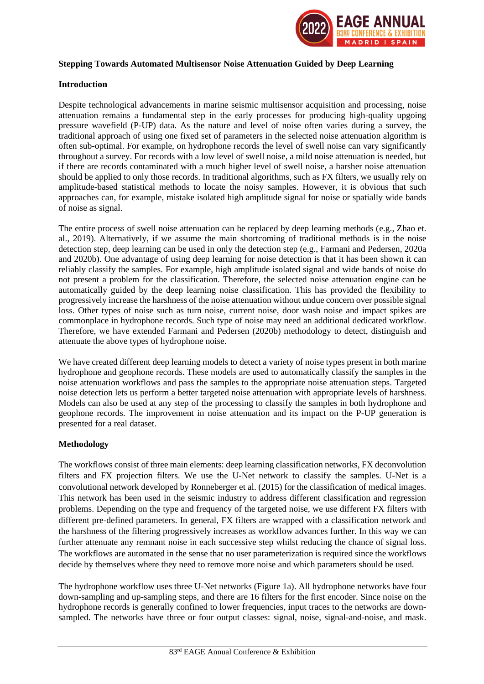

#### **Stepping Towards Automated Multisensor Noise Attenuation Guided by Deep Learning**

#### **Introduction**

Despite technological advancements in marine seismic multisensor acquisition and processing, noise attenuation remains a fundamental step in the early processes for producing high-quality upgoing pressure wavefield (P-UP) data. As the nature and level of noise often varies during a survey, the traditional approach of using one fixed set of parameters in the selected noise attenuation algorithm is often sub-optimal. For example, on hydrophone records the level of swell noise can vary significantly throughout a survey. For records with a low level of swell noise, a mild noise attenuation is needed, but if there are records contaminated with a much higher level of swell noise, a harsher noise attenuation should be applied to only those records. In traditional algorithms, such as FX filters, we usually rely on amplitude-based statistical methods to locate the noisy samples. However, it is obvious that such approaches can, for example, mistake isolated high amplitude signal for noise or spatially wide bands of noise as signal.

The entire process of swell noise attenuation can be replaced by deep learning methods (e.g., Zhao et. al., 2019). Alternatively, if we assume the main shortcoming of traditional methods is in the noise detection step, deep learning can be used in only the detection step (e.g., Farmani and Pedersen, 2020a and 2020b). One advantage of using deep learning for noise detection is that it has been shown it can reliably classify the samples. For example, high amplitude isolated signal and wide bands of noise do not present a problem for the classification. Therefore, the selected noise attenuation engine can be automatically guided by the deep learning noise classification. This has provided the flexibility to progressively increase the harshness of the noise attenuation without undue concern over possible signal loss. Other types of noise such as turn noise, current noise, door wash noise and impact spikes are commonplace in hydrophone records. Such type of noise may need an additional dedicated workflow. Therefore, we have extended Farmani and Pedersen (2020b) methodology to detect, distinguish and attenuate the above types of hydrophone noise.

We have created different deep learning models to detect a variety of noise types present in both marine hydrophone and geophone records. These models are used to automatically classify the samples in the noise attenuation workflows and pass the samples to the appropriate noise attenuation steps. Targeted noise detection lets us perform a better targeted noise attenuation with appropriate levels of harshness. Models can also be used at any step of the processing to classify the samples in both hydrophone and geophone records. The improvement in noise attenuation and its impact on the P-UP generation is presented for a real dataset.

## **Methodology**

The workflows consist of three main elements: deep learning classification networks, FX deconvolution filters and FX projection filters. We use the U-Net network to classify the samples. U-Net is a convolutional network developed by Ronneberger et al. (2015) for the classification of medical images. This network has been used in the seismic industry to address different classification and regression problems. Depending on the type and frequency of the targeted noise, we use different FX filters with different pre-defined parameters. In general, FX filters are wrapped with a classification network and the harshness of the filtering progressively increases as workflow advances further. In this way we can further attenuate any remnant noise in each successive step whilst reducing the chance of signal loss. The workflows are automated in the sense that no user parameterization is required since the workflows decide by themselves where they need to remove more noise and which parameters should be used.

The hydrophone workflow uses three U-Net networks (Figure 1a). All hydrophone networks have four down-sampling and up-sampling steps, and there are 16 filters for the first encoder. Since noise on the hydrophone records is generally confined to lower frequencies, input traces to the networks are downsampled. The networks have three or four output classes: signal, noise, signal-and-noise, and mask.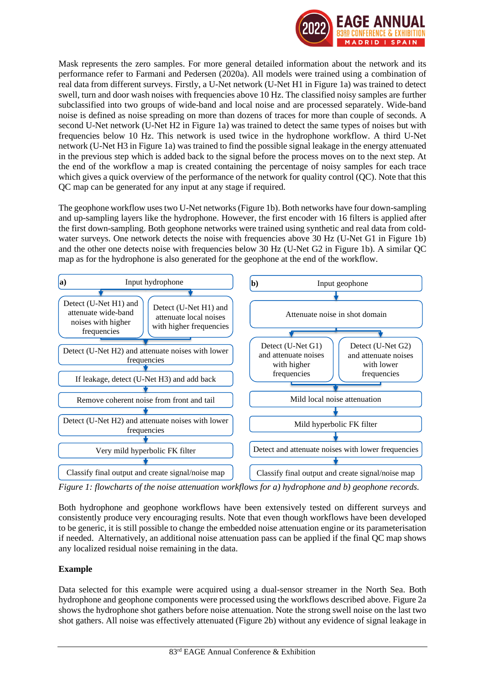

Mask represents the zero samples. For more general detailed information about the network and its performance refer to Farmani and Pedersen (2020a). All models were trained using a combination of real data from different surveys. Firstly, a U-Net network (U-Net H1 in Figure 1a) was trained to detect swell, turn and door wash noises with frequencies above 10 Hz. The classified noisy samples are further subclassified into two groups of wide-band and local noise and are processed separately. Wide-band noise is defined as noise spreading on more than dozens of traces for more than couple of seconds. A second U-Net network (U-Net H2 in Figure 1a) was trained to detect the same types of noises but with frequencies below 10 Hz. This network is used twice in the hydrophone workflow. A third U-Net network (U-Net H3 in Figure 1a) was trained to find the possible signal leakage in the energy attenuated in the previous step which is added back to the signal before the process moves on to the next step. At the end of the workflow a map is created containing the percentage of noisy samples for each trace which gives a quick overview of the performance of the network for quality control (QC). Note that this QC map can be generated for any input at any stage if required.

The geophone workflow uses two U-Net networks (Figure 1b). Both networks have four down-sampling and up-sampling layers like the hydrophone. However, the first encoder with 16 filters is applied after the first down-sampling. Both geophone networks were trained using synthetic and real data from coldwater surveys. One network detects the noise with frequencies above 30 Hz (U-Net G1 in Figure 1b) and the other one detects noise with frequencies below 30 Hz (U-Net G2 in Figure 1b). A similar QC map as for the hydrophone is also generated for the geophone at the end of the workflow.



*Figure 1: flowcharts of the noise attenuation workflows for a) hydrophone and b) geophone records.*

Both hydrophone and geophone workflows have been extensively tested on different surveys and consistently produce very encouraging results. Note that even though workflows have been developed to be generic, it is still possible to change the embedded noise attenuation engine or its parameterisation if needed. Alternatively, an additional noise attenuation pass can be applied if the final QC map shows any localized residual noise remaining in the data.

## **Example**

Data selected for this example were acquired using a dual-sensor streamer in the North Sea. Both hydrophone and geophone components were processed using the workflows described above. Figure 2a shows the hydrophone shot gathers before noise attenuation. Note the strong swell noise on the last two shot gathers. All noise was effectively attenuated (Figure 2b) without any evidence of signal leakage in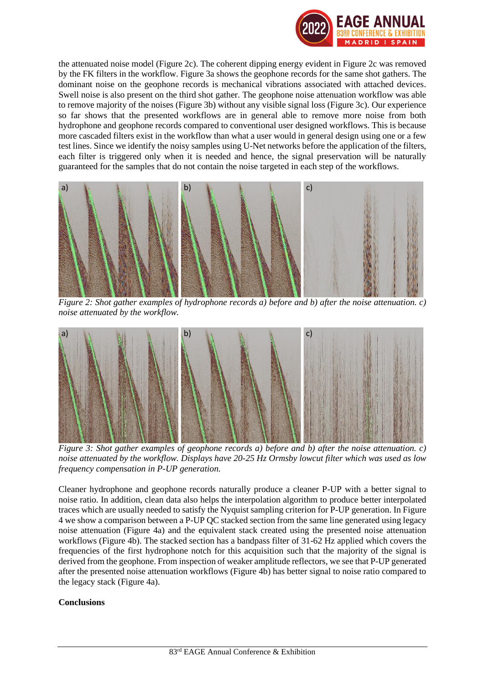

the attenuated noise model (Figure 2c). The coherent dipping energy evident in Figure 2c was removed by the FK filters in the workflow. Figure 3a shows the geophone records for the same shot gathers. The dominant noise on the geophone records is mechanical vibrations associated with attached devices. Swell noise is also present on the third shot gather. The geophone noise attenuation workflow was able to remove majority of the noises (Figure 3b) without any visible signal loss (Figure 3c). Our experience so far shows that the presented workflows are in general able to remove more noise from both hydrophone and geophone records compared to conventional user designed workflows. This is because more cascaded filters exist in the workflow than what a user would in general design using one or a few test lines. Since we identify the noisy samples using U-Net networks before the application of the filters, each filter is triggered only when it is needed and hence, the signal preservation will be naturally guaranteed for the samples that do not contain the noise targeted in each step of the workflows.



*Figure 2: Shot gather examples of hydrophone records a) before and b) after the noise attenuation. c) noise attenuated by the workflow.*



*Figure 3: Shot gather examples of geophone records a) before and b) after the noise attenuation. c) noise attenuated by the workflow. Displays have 20-25 Hz Ormsby lowcut filter which was used as low frequency compensation in P-UP generation.*

Cleaner hydrophone and geophone records naturally produce a cleaner P-UP with a better signal to noise ratio. In addition, clean data also helps the interpolation algorithm to produce better interpolated traces which are usually needed to satisfy the Nyquist sampling criterion for P-UP generation. In Figure 4 we show a comparison between a P-UP QC stacked section from the same line generated using legacy noise attenuation (Figure 4a) and the equivalent stack created using the presented noise attenuation workflows (Figure 4b). The stacked section has a bandpass filter of 31-62 Hz applied which covers the frequencies of the first hydrophone notch for this acquisition such that the majority of the signal is derived from the geophone. From inspection of weaker amplitude reflectors, we see that P-UP generated after the presented noise attenuation workflows (Figure 4b) has better signal to noise ratio compared to the legacy stack (Figure 4a).

## **Conclusions**